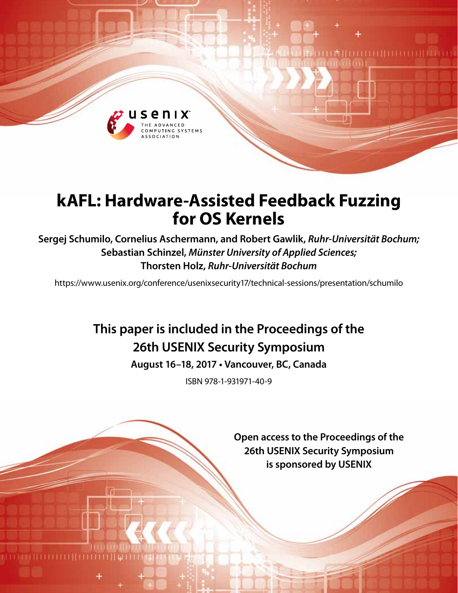

# **kAFL: Hardware-Assisted Feedback Fuzzing for OS Kernels**

**Sergej Schumilo, Cornelius Aschermann, and Robert Gawlik,** *Ruhr-Universität Bochum;*  **Sebastian Schinzel,** *Münster University of Applied Sciences;*  **Thorsten Holz,** *Ruhr-Universität Bochum*

https://www.usenix.org/conference/usenixsecurity17/technical-sessions/presentation/schumilo

# **This paper is included in the Proceedings of the 26th USENIX Security Symposium**

**August 16–18, 2017 • Vancouver, BC, Canada**

ISBN 978-1-931971-40-9

**Open access to the Proceedings of the 26th USENIX Security Symposium is sponsored by USENIX**

**DATE LE CELLE LE CELLE DE L'ALLES**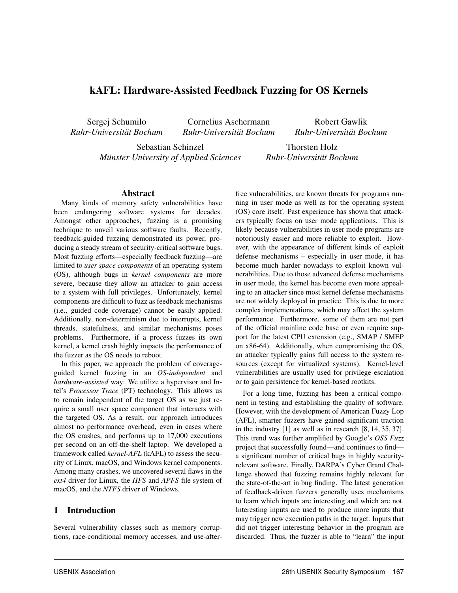# kAFL: Hardware-Assisted Feedback Fuzzing for OS Kernels

Sergej Schumilo *Ruhr-Universität Bochum*

Cornelius Aschermann *Ruhr-Universität Bochum*

Sebastian Schinzel *Münster University of Applied Sciences*

*Ruhr-Universität Bochum* Thorsten Holz

*Ruhr-Universität Bochum*

Robert Gawlik

#### Abstract

Many kinds of memory safety vulnerabilities have been endangering software systems for decades. Amongst other approaches, fuzzing is a promising technique to unveil various software faults. Recently, feedback-guided fuzzing demonstrated its power, producing a steady stream of security-critical software bugs. Most fuzzing efforts—especially feedback fuzzing—are limited to *user space components* of an operating system (OS), although bugs in *kernel components* are more severe, because they allow an attacker to gain access to a system with full privileges. Unfortunately, kernel components are difficult to fuzz as feedback mechanisms (i.e., guided code coverage) cannot be easily applied. Additionally, non-determinism due to interrupts, kernel threads, statefulness, and similar mechanisms poses problems. Furthermore, if a process fuzzes its own kernel, a kernel crash highly impacts the performance of the fuzzer as the OS needs to reboot.

In this paper, we approach the problem of coverageguided kernel fuzzing in an *OS-independent* and *hardware-assisted* way: We utilize a hypervisor and Intel's *Processor Trace* (PT) technology. This allows us to remain independent of the target OS as we just require a small user space component that interacts with the targeted OS. As a result, our approach introduces almost no performance overhead, even in cases where the OS crashes, and performs up to 17,000 executions per second on an off-the-shelf laptop. We developed a framework called *kernel-AFL* (kAFL) to assess the security of Linux, macOS, and Windows kernel components. Among many crashes, we uncovered several flaws in the *ext4* driver for Linux, the *HFS* and *APFS* file system of macOS, and the *NTFS* driver of Windows.

## 1 Introduction

Several vulnerability classes such as memory corruptions, race-conditional memory accesses, and use-afterfree vulnerabilities, are known threats for programs running in user mode as well as for the operating system (OS) core itself. Past experience has shown that attackers typically focus on user mode applications. This is likely because vulnerabilities in user mode programs are notoriously easier and more reliable to exploit. However, with the appearance of different kinds of exploit defense mechanisms – especially in user mode, it has become much harder nowadays to exploit known vulnerabilities. Due to those advanced defense mechanisms in user mode, the kernel has become even more appealing to an attacker since most kernel defense mechanisms are not widely deployed in practice. This is due to more complex implementations, which may affect the system performance. Furthermore, some of them are not part of the official mainline code base or even require support for the latest CPU extension (e.g., SMAP / SMEP on x86-64). Additionally, when compromising the OS, an attacker typically gains full access to the system resources (except for virtualized systems). Kernel-level vulnerabilities are usually used for privilege escalation or to gain persistence for kernel-based rootkits.

For a long time, fuzzing has been a critical component in testing and establishing the quality of software. However, with the development of American Fuzzy Lop (AFL), smarter fuzzers have gained significant traction in the industry [\[1\]](#page-15-0) as well as in research [\[8,](#page-15-1) [14,](#page-15-2) [35,](#page-16-0) [37\]](#page-16-1). This trend was further amplified by Google's *OSS Fuzz* project that successfully found—and continues to find a significant number of critical bugs in highly securityrelevant software. Finally, DARPA's Cyber Grand Challenge showed that fuzzing remains highly relevant for the state-of-the-art in bug finding. The latest generation of feedback-driven fuzzers generally uses mechanisms to learn which inputs are interesting and which are not. Interesting inputs are used to produce more inputs that may trigger new execution paths in the target. Inputs that did not trigger interesting behavior in the program are discarded. Thus, the fuzzer is able to "learn" the input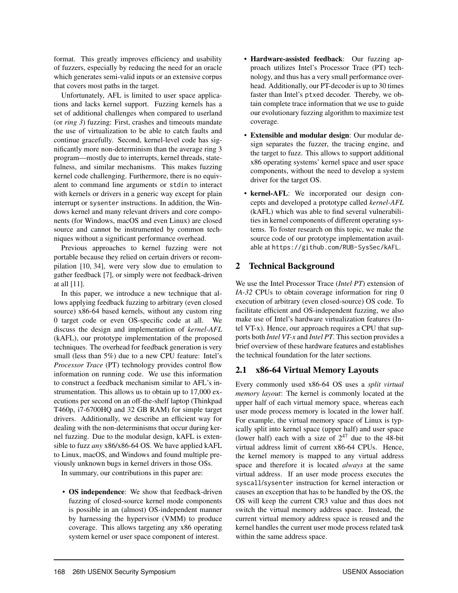format. This greatly improves efficiency and usability of fuzzers, especially by reducing the need for an oracle which generates semi-valid inputs or an extensive corpus that covers most paths in the target.

Unfortunately, AFL is limited to user space applications and lacks kernel support. Fuzzing kernels has a set of additional challenges when compared to userland (or *ring 3*) fuzzing: First, crashes and timeouts mandate the use of virtualization to be able to catch faults and continue gracefully. Second, kernel-level code has significantly more non-determinism than the average ring 3 program—mostly due to interrupts, kernel threads, statefulness, and similar mechanisms. This makes fuzzing kernel code challenging. Furthermore, there is no equivalent to command line arguments or stdin to interact with kernels or drivers in a generic way except for plain interrupt or sysenter instructions. In addition, the Windows kernel and many relevant drivers and core components (for Windows, macOS and even Linux) are closed source and cannot be instrumented by common techniques without a significant performance overhead.

Previous approaches to kernel fuzzing were not portable because they relied on certain drivers or recompilation [\[10,](#page-15-3) [34\]](#page-16-2), were very slow due to emulation to gather feedback [\[7\]](#page-15-4), or simply were not feedback-driven at all [\[11\]](#page-15-5).

In this paper, we introduce a new technique that allows applying feedback fuzzing to arbitrary (even closed source) x86-64 based kernels, without any custom ring 0 target code or even OS-specific code at all. We discuss the design and implementation of *kernel-AFL* (kAFL), our prototype implementation of the proposed techniques. The overhead for feedback generation is very small (less than 5%) due to a new CPU feature: Intel's *Processor Trace* (PT) technology provides control flow information on running code. We use this information to construct a feedback mechanism similar to AFL's instrumentation. This allows us to obtain up to 17,000 executions per second on an off-the-shelf laptop (Thinkpad T460p, i7-6700HQ and 32 GB RAM) for simple target drivers. Additionally, we describe an efficient way for dealing with the non-determinisms that occur during kernel fuzzing. Due to the modular design, kAFL is extensible to fuzz *any* x86/x86-64 OS. We have applied kAFL to Linux, macOS, and Windows and found multiple previously unknown bugs in kernel drivers in those OSs.

In summary, our contributions in this paper are:

• OS independence: We show that feedback-driven fuzzing of closed-source kernel mode components is possible in an (almost) OS-independent manner by harnessing the hypervisor (VMM) to produce coverage. This allows targeting any x86 operating system kernel or user space component of interest.

- Hardware-assisted feedback: Our fuzzing approach utilizes Intel's Processor Trace (PT) technology, and thus has a very small performance overhead. Additionally, our PT-decoder is up to 30 times faster than Intel's ptxed decoder. Thereby, we obtain complete trace information that we use to guide our evolutionary fuzzing algorithm to maximize test coverage.
- Extensible and modular design: Our modular design separates the fuzzer, the tracing engine, and the target to fuzz. This allows to support additional x86 operating systems' kernel space and user space components, without the need to develop a system driver for the target OS.
- kernel-AFL: We incorporated our design concepts and developed a prototype called *kernel-AFL* (kAFL) which was able to find several vulnerabilities in kernel components of different operating systems. To foster research on this topic, we make the source code of our prototype implementation available at <https://github.com/RUB-SysSec/kAFL>.

# 2 Technical Background

We use the Intel Processor Trace (*Intel PT*) extension of *IA-32* CPUs to obtain coverage information for ring 0 execution of arbitrary (even closed-source) OS code. To facilitate efficient and OS-independent fuzzing, we also make use of Intel's hardware virtualization features (Intel VT-x). Hence, our approach requires a CPU that supports both *Intel VT-x* and *Intel PT*. This section provides a brief overview of these hardware features and establishes the technical foundation for the later sections.

# 2.1 x86-64 Virtual Memory Layouts

Every commonly used x86-64 OS uses a *split virtual memory layout*: The kernel is commonly located at the upper half of each virtual memory space, whereas each user mode process memory is located in the lower half. For example, the virtual memory space of Linux is typically split into kernel space (upper half) and user space (lower half) each with a size of  $2^{47}$  due to the 48-bit virtual address limit of current x86-64 CPUs. Hence, the kernel memory is mapped to any virtual address space and therefore it is located *always* at the same virtual address. If an user mode process executes the syscall/sysenter instruction for kernel interaction or causes an exception that has to be handled by the OS, the OS will keep the current CR3 value and thus does not switch the virtual memory address space. Instead, the current virtual memory address space is reused and the kernel handles the current user mode process related task within the same address space.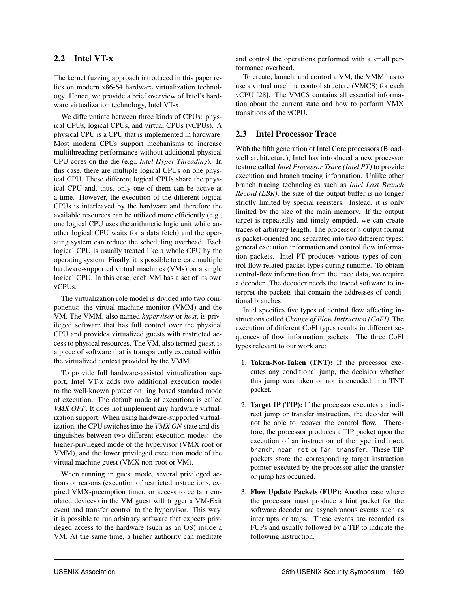## 2.2 Intel VT-x

The kernel fuzzing approach introduced in this paper relies on modern x86-64 hardware virtualization technology. Hence, we provide a brief overview of Intel's hardware virtualization technology, Intel VT-x.

We differentiate between three kinds of CPUs: physical CPUs, logical CPUs, and virtual CPUs (vCPUs). A physical CPU is a CPU that is implemented in hardware. Most modern CPUs support mechanisms to increase multithreading performance without additional physical CPU cores on the die (e.g., *Intel Hyper-Threading*). In this case, there are multiple logical CPUs on one physical CPU. These different logical CPUs share the physical CPU and, thus, only one of them can be active at a time. However, the execution of the different logical CPUs is interleaved by the hardware and therefore the available resources can be utilized more efficiently (e.g., one logical CPU uses the arithmetic logic unit while another logical CPU waits for a data fetch) and the operating system can reduce the scheduling overhead. Each logical CPU is usually treated like a whole CPU by the operating system. Finally, it is possible to create multiple hardware-supported virtual machines (VMs) on a single logical CPU. In this case, each VM has a set of its own vCPUs.

The virtualization role model is divided into two components: the virtual machine monitor (VMM) and the VM. The VMM, also named *hypervisor* or *host*, is privileged software that has full control over the physical CPU and provides virtualized guests with restricted access to physical resources. The VM, also termed *guest*, is a piece of software that is transparently executed within the virtualized context provided by the VMM.

To provide full hardware-assisted virtualization support, Intel VT-x adds two additional execution modes to the well-known protection ring based standard mode of execution. The default mode of executions is called *VMX OFF*. It does not implement any hardware virtualization support. When using hardware-supported virtualization, the CPU switches into the *VMX ON* state and distinguishes between two different execution modes: the higher-privileged mode of the hypervisor (VMX root or VMM), and the lower privileged execution mode of the virtual machine guest (VMX non-root or VM).

When running in guest mode, several privileged actions or reasons (execution of restricted instructions, expired VMX-preemption timer, or access to certain emulated devices) in the VM guest will trigger a VM-Exit event and transfer control to the hypervisor. This way, it is possible to run arbitrary software that expects privileged access to the hardware (such as an OS) inside a VM. At the same time, a higher authority can meditate and control the operations performed with a small performance overhead.

To create, launch, and control a VM, the VMM has to use a virtual machine control structure (VMCS) for each vCPU [\[28\]](#page-16-3). The VMCS contains all essential information about the current state and how to perform VMX transitions of the vCPU.

## <span id="page-3-0"></span>2.3 Intel Processor Trace

With the fifth generation of Intel Core processors (Broadwell architecture), Intel has introduced a new processor feature called *Intel Processor Trace (Intel PT)* to provide execution and branch tracing information. Unlike other branch tracing technologies such as *Intel Last Branch Record (LBR)*, the size of the output buffer is no longer strictly limited by special registers. Instead, it is only limited by the size of the main memory. If the output target is repeatedly and timely emptied, we can create traces of arbitrary length. The processor's output format is packet-oriented and separated into two different types: general execution information and control flow information packets. Intel PT produces various types of control flow related packet types during runtime. To obtain control-flow information from the trace data, we require a decoder. The decoder needs the traced software to interpret the packets that contain the addresses of conditional branches.

Intel specifies five types of control flow affecting instructions called *Change of Flow Instruction (CoFI)*. The execution of different CoFI types results in different sequences of flow information packets. The three CoFI types relevant to our work are:

- 1. Taken-Not-Taken (TNT): If the processor executes any conditional jump, the decision whether this jump was taken or not is encoded in a TNT packet.
- 2. Target IP (TIP): If the processor executes an indirect jump or transfer instruction, the decoder will not be able to recover the control flow. Therefore, the processor produces a TIP packet upon the execution of an instruction of the type indirect branch, near ret or far transfer. These TIP packets store the corresponding target instruction pointer executed by the processor after the transfer or jump has occurred.
- 3. Flow Update Packets (FUP): Another case where the processor must produce a hint packet for the software decoder are asynchronous events such as interrupts or traps. These events are recorded as FUPs and usually followed by a TIP to indicate the following instruction.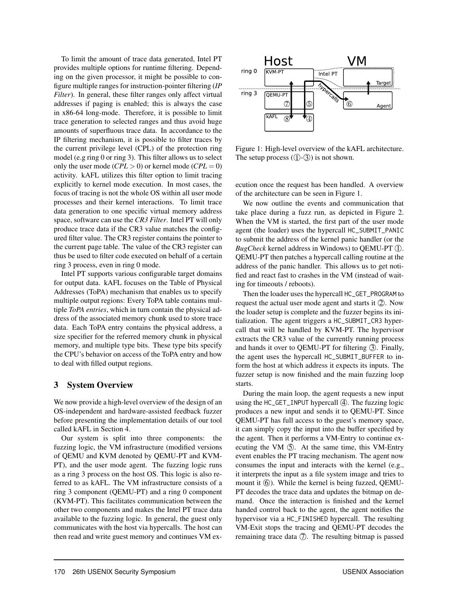To limit the amount of trace data generated, Intel PT provides multiple options for runtime filtering. Depending on the given processor, it might be possible to configure multiple ranges for instruction-pointer filtering (*IP Filter*). In general, these filter ranges only affect virtual addresses if paging is enabled; this is always the case in x86-64 long-mode. Therefore, it is possible to limit trace generation to selected ranges and thus avoid huge amounts of superfluous trace data. In accordance to the IP filtering mechanism, it is possible to filter traces by the current privilege level (CPL) of the protection ring model (e.g ring 0 or ring 3). This filter allows us to select only the user mode  $(CPL > 0)$  or kernel mode  $(CPL = 0)$ activity. kAFL utilizes this filter option to limit tracing explicitly to kernel mode execution. In most cases, the focus of tracing is not the whole OS within all user mode processes and their kernel interactions. To limit trace data generation to one specific virtual memory address space, software can use the *CR3 Filter*. Intel PT will only produce trace data if the CR3 value matches the configured filter value. The CR3 register contains the pointer to the current page table. The value of the CR3 register can thus be used to filter code executed on behalf of a certain ring 3 process, even in ring 0 mode.

Intel PT supports various configurable target domains for output data. kAFL focuses on the Table of Physical Addresses (ToPA) mechanism that enables us to specify multiple output regions: Every ToPA table contains multiple *ToPA entries*, which in turn contain the physical address of the associated memory chunk used to store trace data. Each ToPA entry contains the physical address, a size specifier for the referred memory chunk in physical memory, and multiple type bits. These type bits specify the CPU's behavior on access of the ToPA entry and how to deal with filled output regions.

## 3 System Overview

We now provide a high-level overview of the design of an OS-independent and hardware-assisted feedback fuzzer before presenting the implementation details of our tool called kAFL in Section [4.](#page-6-0)

Our system is split into three components: the fuzzing logic, the VM infrastructure (modified versions of QEMU and KVM denoted by QEMU-PT and KVM-PT), and the user mode agent. The fuzzing logic runs as a ring 3 process on the host OS. This logic is also referred to as kAFL. The VM infrastructure consists of a ring 3 component (QEMU-PT) and a ring 0 component (KVM-PT). This facilitates communication between the other two components and makes the Intel PT trace data available to the fuzzing logic. In general, the guest only communicates with the host via hypercalls. The host can then read and write guest memory and continues VM ex-

<span id="page-4-0"></span>

Figure 1: High-level overview of the kAFL architecture. The setup process  $(1)$ - $(3)$ ) is not shown.

ecution once the request has been handled. A overview of the architecture can be seen in Figure [1.](#page-4-0)

We now outline the events and communication that take place during a fuzz run, as depicted in Figure [2.](#page-5-0) When the VM is started, the first part of the user mode agent (the loader) uses the hypercall HC\_SUBMIT\_PANIC to submit the address of the kernel panic handler (or the *BugCheck* kernel address in Windows) to QEMU-PT (1). QEMU-PT then patches a hypercall calling routine at the address of the panic handler. This allows us to get notified and react fast to crashes in the VM (instead of waiting for timeouts / reboots).

Then the loader uses the hypercall HC\_GET\_PROGRAM to request the actual user mode agent and starts it  $\mathcal{Q}$ . Now the loader setup is complete and the fuzzer begins its initialization. The agent triggers a HC\_SUBMIT\_CR3 hypercall that will be handled by KVM-PT. The hypervisor extracts the CR3 value of the currently running process and hands it over to QEMU-PT for filtering  $(3)$ . Finally, the agent uses the hypercall HC\_SUBMIT\_BUFFER to inform the host at which address it expects its inputs. The fuzzer setup is now finished and the main fuzzing loop starts.

During the main loop, the agent requests a new input using the  $HC$ <sub>-</sub> $GET$ <sub>-I</sub>NPUT hypercall  $\circled{4}$ . The fuzzing logic produces a new input and sends it to QEMU-PT. Since QEMU-PT has full access to the guest's memory space, it can simply copy the input into the buffer specified by the agent. Then it performs a VM-Entry to continue executing the VM  $\circled{5}$ . At the same time, this VM-Entry event enables the PT tracing mechanism. The agent now consumes the input and interacts with the kernel (e.g., it interprets the input as a file system image and tries to mount it  $(6)$ . While the kernel is being fuzzed, QEMU-PT decodes the trace data and updates the bitmap on demand. Once the interaction is finished and the kernel handed control back to the agent, the agent notifies the hypervisor via a HC\_FINISHED hypercall. The resulting VM-Exit stops the tracing and QEMU-PT decodes the remaining trace data  $\mathcal{D}$ . The resulting bitmap is passed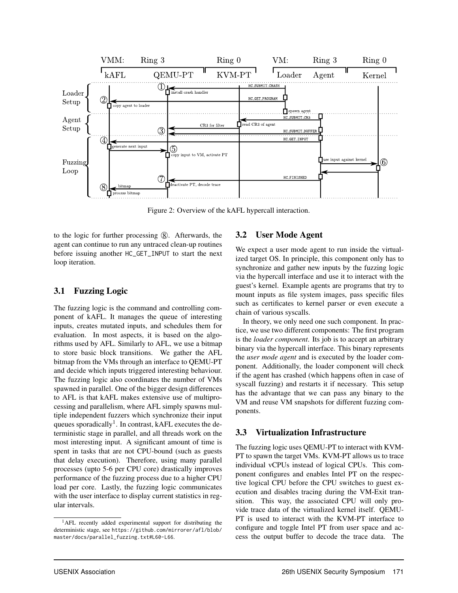<span id="page-5-0"></span>

Figure 2: Overview of the kAFL hypercall interaction.

to the logic for further processing  $(8)$ . Afterwards, the agent can continue to run any untraced clean-up routines before issuing another HC\_GET\_INPUT to start the next loop iteration.

# 3.1 Fuzzing Logic

The fuzzing logic is the command and controlling component of kAFL. It manages the queue of interesting inputs, creates mutated inputs, and schedules them for evaluation. In most aspects, it is based on the algorithms used by AFL. Similarly to AFL, we use a bitmap to store basic block transitions. We gather the AFL bitmap from the VMs through an interface to QEMU-PT and decide which inputs triggered interesting behaviour. The fuzzing logic also coordinates the number of VMs spawned in parallel. One of the bigger design differences to AFL is that kAFL makes extensive use of multiprocessing and parallelism, where AFL simply spawns multiple independent fuzzers which synchronize their input queues sporadically<sup>[1](#page-5-1)</sup>. In contrast, kAFL executes the deterministic stage in parallel, and all threads work on the most interesting input. A significant amount of time is spent in tasks that are not CPU-bound (such as guests that delay execution). Therefore, using many parallel processes (upto 5-6 per CPU core) drastically improves performance of the fuzzing process due to a higher CPU load per core. Lastly, the fuzzing logic communicates with the user interface to display current statistics in regular intervals.

# 3.2 User Mode Agent

We expect a user mode agent to run inside the virtualized target OS. In principle, this component only has to synchronize and gather new inputs by the fuzzing logic via the hypercall interface and use it to interact with the guest's kernel. Example agents are programs that try to mount inputs as file system images, pass specific files such as certificates to kernel parser or even execute a chain of various syscalls.

In theory, we only need one such component. In practice, we use two different components: The first program is the *loader component*. Its job is to accept an arbitrary binary via the hypercall interface. This binary represents the *user mode agent* and is executed by the loader component. Additionally, the loader component will check if the agent has crashed (which happens often in case of syscall fuzzing) and restarts it if necessary. This setup has the advantage that we can pass any binary to the VM and reuse VM snapshots for different fuzzing components.

# 3.3 Virtualization Infrastructure

The fuzzing logic uses QEMU-PT to interact with KVM-PT to spawn the target VMs. KVM-PT allows us to trace individual vCPUs instead of logical CPUs. This component configures and enables Intel PT on the respective logical CPU before the CPU switches to guest execution and disables tracing during the VM-Exit transition. This way, the associated CPU will only provide trace data of the virtualized kernel itself. QEMU-PT is used to interact with the KVM-PT interface to configure and toggle Intel PT from user space and access the output buffer to decode the trace data. The

<span id="page-5-1"></span><sup>1</sup>AFL recently added experimental support for distributing the deterministic stage, see [https://github.com/mirrorer/afl/blob/](https://github.com/mirrorer/afl/blob/master/docs/parallel_fuzzing.txt##L60-L66) [master/docs/parallel\\_fuzzing.txt#L60-L66](https://github.com/mirrorer/afl/blob/master/docs/parallel_fuzzing.txt##L60-L66).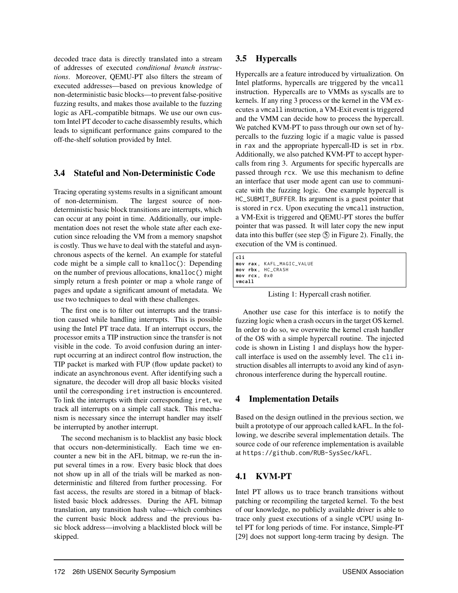decoded trace data is directly translated into a stream of addresses of executed *conditional branch instructions*. Moreover, QEMU-PT also filters the stream of executed addresses—based on previous knowledge of non-deterministic basic blocks—to prevent false-positive fuzzing results, and makes those available to the fuzzing logic as AFL-compatible bitmaps. We use our own custom Intel PT decoder to cache disassembly results, which leads to significant performance gains compared to the off-the-shelf solution provided by Intel.

# 3.4 Stateful and Non-Deterministic Code

Tracing operating systems results in a significant amount of non-determinism. The largest source of nondeterministic basic block transitions are interrupts, which can occur at any point in time. Additionally, our implementation does not reset the whole state after each execution since reloading the VM from a memory snapshot is costly. Thus we have to deal with the stateful and asynchronous aspects of the kernel. An example for stateful code might be a simple call to kmalloc(): Depending on the number of previous allocations, kmalloc() might simply return a fresh pointer or map a whole range of pages and update a significant amount of metadata. We use two techniques to deal with these challenges.

The first one is to filter out interrupts and the transition caused while handling interrupts. This is possible using the Intel PT trace data. If an interrupt occurs, the processor emits a TIP instruction since the transfer is not visible in the code. To avoid confusion during an interrupt occurring at an indirect control flow instruction, the TIP packet is marked with FUP (flow update packet) to indicate an asynchronous event. After identifying such a signature, the decoder will drop all basic blocks visited until the corresponding iret instruction is encountered. To link the interrupts with their corresponding iret, we track all interrupts on a simple call stack. This mechanism is necessary since the interrupt handler may itself be interrupted by another interrupt.

The second mechanism is to blacklist any basic block that occurs non-deterministically. Each time we encounter a new bit in the AFL bitmap, we re-run the input several times in a row. Every basic block that does not show up in all of the trials will be marked as nondeterministic and filtered from further processing. For fast access, the results are stored in a bitmap of blacklisted basic block addresses. During the AFL bitmap translation, any transition hash value—which combines the current basic block address and the previous basic block address—involving a blacklisted block will be skipped.

# 3.5 Hypercalls

Hypercalls are a feature introduced by virtualization. On Intel platforms, hypercalls are triggered by the vmcall instruction. Hypercalls are to VMMs as syscalls are to kernels. If any ring 3 process or the kernel in the VM executes a vmcall instruction, a VM-Exit event is triggered and the VMM can decide how to process the hypercall. We patched KVM-PT to pass through our own set of hypercalls to the fuzzing logic if a magic value is passed in rax and the appropriate hypercall-ID is set in rbx. Additionally, we also patched KVM-PT to accept hypercalls from ring 3. Arguments for specific hypercalls are passed through rcx. We use this mechanism to define an interface that user mode agent can use to communicate with the fuzzing logic. One example hypercall is HC\_SUBMIT\_BUFFER. Its argument is a guest pointer that is stored in rcx. Upon executing the vmcall instruction, a VM-Exit is triggered and QEMU-PT stores the buffer pointer that was passed. It will later copy the new input data into this buffer (see step  $\circled{S}$  in Figure [2\)](#page-5-0). Finally, the execution of the VM is continued.

```
cli
mov rax , KAFL_MAGIC_VALUE
mov rbx , HC_CRASH
mov rcx , 0 x0
vmcall
```
Listing 1: Hypercall crash notifier.

Another use case for this interface is to notify the fuzzing logic when a crash occurs in the target OS kernel. In order to do so, we overwrite the kernel crash handler of the OS with a simple hypercall routine. The injected code is shown in Listing [1](#page-6-1) and displays how the hypercall interface is used on the assembly level. The cli instruction disables all interrupts to avoid any kind of asynchronous interference during the hypercall routine.

# <span id="page-6-0"></span>4 Implementation Details

Based on the design outlined in the previous section, we built a prototype of our approach called kAFL. In the following, we describe several implementation details. The source code of our reference implementation is available at <https://github.com/RUB-SysSec/kAFL>.

# 4.1 KVM-PT

Intel PT allows us to trace branch transitions without patching or recompiling the targeted kernel. To the best of our knowledge, no publicly available driver is able to trace only guest executions of a single vCPU using Intel PT for long periods of time. For instance, Simple-PT [\[29\]](#page-16-4) does not support long-term tracing by design. The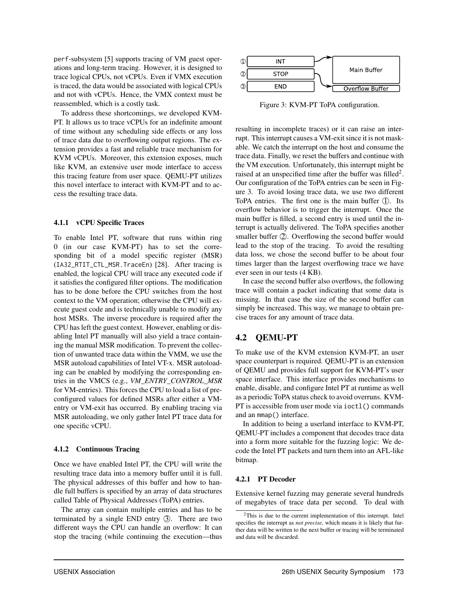perf-subsystem [\[5\]](#page-15-6) supports tracing of VM guest operations and long-term tracing. However, it is designed to trace logical CPUs, not vCPUs. Even if VMX execution is traced, the data would be associated with logical CPUs and not with vCPUs. Hence, the VMX context must be reassembled, which is a costly task.

To address these shortcomings, we developed KVM-PT. It allows us to trace vCPUs for an indefinite amount of time without any scheduling side effects or any loss of trace data due to overflowing output regions. The extension provides a fast and reliable trace mechanism for KVM vCPUs. Moreover, this extension exposes, much like KVM, an extensive user mode interface to access this tracing feature from user space. QEMU-PT utilizes this novel interface to interact with KVM-PT and to access the resulting trace data.

#### 4.1.1 vCPU Specific Traces

To enable Intel PT, software that runs within ring 0 (in our case KVM-PT) has to set the corresponding bit of a model specific register (MSR) (IA32\_RTIT\_CTL\_MSR.TraceEn) [\[28\]](#page-16-3). After tracing is enabled, the logical CPU will trace any executed code if it satisfies the configured filter options. The modification has to be done before the CPU switches from the host context to the VM operation; otherwise the CPU will execute guest code and is technically unable to modify any host MSRs. The inverse procedure is required after the CPU has left the guest context. However, enabling or disabling Intel PT manually will also yield a trace containing the manual MSR modification. To prevent the collection of unwanted trace data within the VMM, we use the MSR autoload capabilities of Intel VT-x. MSR autoloading can be enabled by modifying the corresponding entries in the VMCS (e.g., *VM\_ENTRY\_CONTROL\_MSR* for VM-entries). This forces the CPU to load a list of preconfigured values for defined MSRs after either a VMentry or VM-exit has occurred. By enabling tracing via MSR autoloading, we only gather Intel PT trace data for one specific vCPU.

#### 4.1.2 Continuous Tracing

Once we have enabled Intel PT, the CPU will write the resulting trace data into a memory buffer until it is full. The physical addresses of this buffer and how to handle full buffers is specified by an array of data structures called Table of Physical Addresses (ToPA) entries.

The array can contain multiple entries and has to be terminated by a single END entry 3. There are two different ways the CPU can handle an overflow: It can stop the tracing (while continuing the execution—thus

<span id="page-7-1"></span>

Figure 3: KVM-PT ToPA configuration.

resulting in incomplete traces) or it can raise an interrupt. This interrupt causes a VM-exit since it is not maskable. We catch the interrupt on the host and consume the trace data. Finally, we reset the buffers and continue with the VM execution. Unfortunately, this interrupt might be raised at an unspecified time after the buffer was filled<sup>[2](#page-7-0)</sup>. Our configuration of the ToPA entries can be seen in Figure [3.](#page-7-1) To avoid losing trace data, we use two different ToPA entries. The first one is the main buffer  $(1)$ . Its overflow behavior is to trigger the interrupt. Once the main buffer is filled, a second entry is used until the interrupt is actually delivered. The ToPA specifies another smaller buffer  $(2)$ . Overflowing the second buffer would lead to the stop of the tracing. To avoid the resulting data loss, we chose the second buffer to be about four times larger than the largest overflowing trace we have ever seen in our tests (4 KB).

In case the second buffer also overflows, the following trace will contain a packet indicating that some data is missing. In that case the size of the second buffer can simply be increased. This way, we manage to obtain precise traces for any amount of trace data.

## 4.2 QEMU-PT

To make use of the KVM extension KVM-PT, an user space counterpart is required. QEMU-PT is an extension of QEMU and provides full support for KVM-PT's user space interface. This interface provides mechanisms to enable, disable, and configure Intel PT at runtime as well as a periodic ToPA status check to avoid overruns. KVM-PT is accessible from user mode via ioctl() commands and an mmap() interface.

In addition to being a userland interface to KVM-PT, QEMU-PT includes a component that decodes trace data into a form more suitable for the fuzzing logic: We decode the Intel PT packets and turn them into an AFL-like bitmap.

#### 4.2.1 PT Decoder

Extensive kernel fuzzing may generate several hundreds of megabytes of trace data per second. To deal with

<span id="page-7-0"></span><sup>2</sup>This is due to the current implementation of this interrupt. Intel specifies the interrupt as *not precise*, which means it is likely that further data will be written to the next buffer or tracing will be terminated and data will be discarded.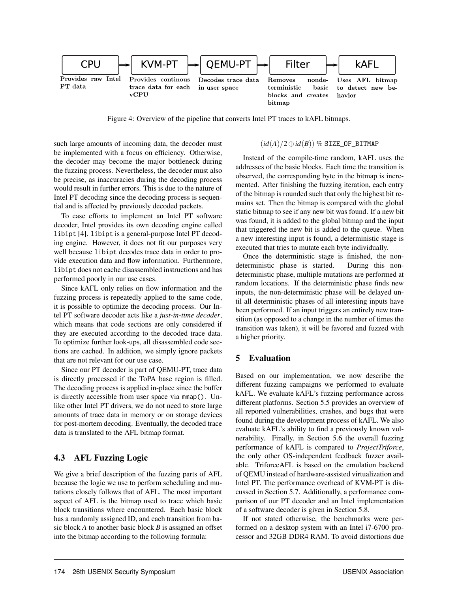

Figure 4: Overview of the pipeline that converts Intel PT traces to kAFL bitmaps.

such large amounts of incoming data, the decoder must be implemented with a focus on efficiency. Otherwise, the decoder may become the major bottleneck during the fuzzing process. Nevertheless, the decoder must also be precise, as inaccuracies during the decoding process would result in further errors. This is due to the nature of Intel PT decoding since the decoding process is sequential and is affected by previously decoded packets.

To ease efforts to implement an Intel PT software decoder, Intel provides its own decoding engine called libipt [\[4\]](#page-15-7). libipt is a general-purpose Intel PT decoding engine. However, it does not fit our purposes very well because libipt decodes trace data in order to provide execution data and flow information. Furthermore, libipt does not cache disassembled instructions and has performed poorly in our use cases.

Since kAFL only relies on flow information and the fuzzing process is repeatedly applied to the same code, it is possible to optimize the decoding process. Our Intel PT software decoder acts like a *just-in-time decoder*, which means that code sections are only considered if they are executed according to the decoded trace data. To optimize further look-ups, all disassembled code sections are cached. In addition, we simply ignore packets that are not relevant for our use case.

Since our PT decoder is part of QEMU-PT, trace data is directly processed if the ToPA base region is filled. The decoding process is applied in-place since the buffer is directly accessible from user space via mmap(). Unlike other Intel PT drivers, we do not need to store large amounts of trace data in memory or on storage devices for post-mortem decoding. Eventually, the decoded trace data is translated to the AFL bitmap format.

# 4.3 AFL Fuzzing Logic

We give a brief description of the fuzzing parts of AFL because the logic we use to perform scheduling and mutations closely follows that of AFL. The most important aspect of AFL is the bitmap used to trace which basic block transitions where encountered. Each basic block has a randomly assigned ID, and each transition from basic block *A* to another basic block *B* is assigned an offset into the bitmap according to the following formula:

#### $(id(A)/2 \oplus id(B))$  % SIZE\_OF\_BITMAP

Instead of the compile-time random, kAFL uses the addresses of the basic blocks. Each time the transition is observed, the corresponding byte in the bitmap is incremented. After finishing the fuzzing iteration, each entry of the bitmap is rounded such that only the highest bit remains set. Then the bitmap is compared with the global static bitmap to see if any new bit was found. If a new bit was found, it is added to the global bitmap and the input that triggered the new bit is added to the queue. When a new interesting input is found, a deterministic stage is executed that tries to mutate each byte individually.

Once the deterministic stage is finished, the nondeterministic phase is started. During this nondeterministic phase, multiple mutations are performed at random locations. If the deterministic phase finds new inputs, the non-deterministic phase will be delayed until all deterministic phases of all interesting inputs have been performed. If an input triggers an entirely new transition (as opposed to a change in the number of times the transition was taken), it will be favored and fuzzed with a higher priority.

# 5 Evaluation

Based on our implementation, we now describe the different fuzzing campaigns we performed to evaluate kAFL. We evaluate kAFL's fuzzing performance across different platforms. Section [5.5](#page-10-0) provides an overview of all reported vulnerabilities, crashes, and bugs that were found during the development process of kAFL. We also evaluate kAFL's ability to find a previously known vulnerability. Finally, in Section [5.6](#page-10-1) the overall fuzzing performance of kAFL is compared to *ProjectTriforce*, the only other OS-independent feedback fuzzer available. TriforceAFL is based on the emulation backend of QEMU instead of hardware-assisted virtualization and Intel PT. The performance overhead of KVM-PT is discussed in Section [5.7.](#page-12-0) Additionally, a performance comparison of our PT decoder and an Intel implementation of a software decoder is given in Section [5.8.](#page-12-1)

If not stated otherwise, the benchmarks were performed on a desktop system with an Intel i7-6700 processor and 32GB DDR4 RAM. To avoid distortions due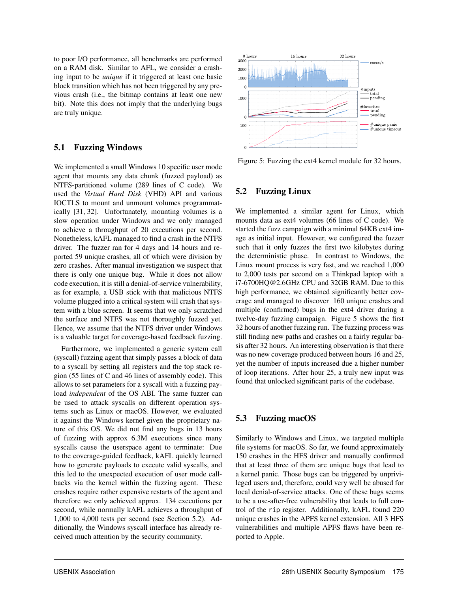to poor I/O performance, all benchmarks are performed on a RAM disk. Similar to AFL, we consider a crashing input to be *unique* if it triggered at least one basic block transition which has not been triggered by any previous crash (i.e., the bitmap contains at least one new bit). Note this does not imply that the underlying bugs are truly unique.

## 5.1 Fuzzing Windows

We implemented a small Windows 10 specific user mode agent that mounts any data chunk (fuzzed payload) as NTFS-partitioned volume (289 lines of C code). We used the *Virtual Hard Disk* (VHD) API and various IOCTLS to mount and unmount volumes programmatically [\[31,](#page-16-5) [32\]](#page-16-6). Unfortunately, mounting volumes is a slow operation under Windows and we only managed to achieve a throughput of 20 executions per second. Nonetheless, kAFL managed to find a crash in the NTFS driver. The fuzzer ran for 4 days and 14 hours and reported 59 unique crashes, all of which were division by zero crashes. After manual investigation we suspect that there is only one unique bug. While it does not allow code execution, it is still a denial-of-service vulnerability, as for example, a USB stick with that malicious NTFS volume plugged into a critical system will crash that system with a blue screen. It seems that we only scratched the surface and NTFS was not thoroughly fuzzed yet. Hence, we assume that the NTFS driver under Windows is a valuable target for coverage-based feedback fuzzing.

Furthermore, we implemented a generic system call (syscall) fuzzing agent that simply passes a block of data to a syscall by setting all registers and the top stack region (55 lines of C and 46 lines of assembly code). This allows to set parameters for a syscall with a fuzzing payload *independent* of the OS ABI. The same fuzzer can be used to attack syscalls on different operation systems such as Linux or macOS. However, we evaluated it against the Windows kernel given the proprietary nature of this OS. We did not find any bugs in 13 hours of fuzzing with approx 6.3M executions since many syscalls cause the userspace agent to terminate: Due to the coverage-guided feedback, kAFL quickly learned how to generate payloads to execute valid syscalls, and this led to the unexpected execution of user mode callbacks via the kernel within the fuzzing agent. These crashes require rather expensive restarts of the agent and therefore we only achieved approx. 134 executions per second, while normally kAFL achieves a throughput of 1,000 to 4,000 tests per second (see Section [5.2\)](#page-9-0). Additionally, the Windows syscall interface has already received much attention by the security community.

<span id="page-9-1"></span>

Figure 5: Fuzzing the ext4 kernel module for 32 hours.

## <span id="page-9-0"></span>5.2 Fuzzing Linux

We implemented a similar agent for Linux, which mounts data as ext4 volumes (66 lines of C code). We started the fuzz campaign with a minimal 64KB ext4 image as initial input. However, we configured the fuzzer such that it only fuzzes the first two kilobytes during the deterministic phase. In contrast to Windows, the Linux mount process is very fast, and we reached 1,000 to 2,000 tests per second on a Thinkpad laptop with a i7-6700HQ@2.6GHz CPU and 32GB RAM. Due to this high performance, we obtained significantly better coverage and managed to discover 160 unique crashes and multiple (confirmed) bugs in the ext4 driver during a twelve-day fuzzing campaign. Figure [5](#page-9-1) shows the first 32 hours of another fuzzing run. The fuzzing process was still finding new paths and crashes on a fairly regular basis after 32 hours. An interesting observation is that there was no new coverage produced between hours 16 and 25, yet the number of inputs increased due a higher number of loop iterations. After hour 25, a truly new input was found that unlocked significant parts of the codebase.

# 5.3 Fuzzing macOS

Similarly to Windows and Linux, we targeted multiple file systems for macOS. So far, we found approximately 150 crashes in the HFS driver and manually confirmed that at least three of them are unique bugs that lead to a kernel panic. Those bugs can be triggered by unprivileged users and, therefore, could very well be abused for local denial-of-service attacks. One of these bugs seems to be a use-after-free vulnerability that leads to full control of the rip register. Additionally, kAFL found 220 unique crashes in the APFS kernel extension. All 3 HFS vulnerabilities and multiple APFS flaws have been reported to Apple.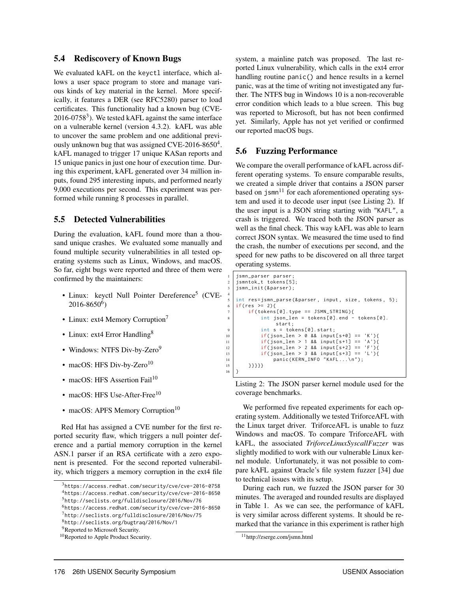## 5.4 Rediscovery of Known Bugs

We evaluated kAFL on the keyctl interface, which allows a user space program to store and manage various kinds of key material in the kernel. More specifically, it features a DER (see RFC5280) parser to load certificates. This functionality had a known bug (CVE-2016-0758 $3$ ). We tested kAFL against the same interface on a vulnerable kernel (version 4.3.2). kAFL was able to uncover the same problem and one additional previ-ously unknown bug that was assigned CVE-2016-8650<sup>[4](#page-10-3)</sup>. kAFL managed to trigger 17 unique KASan reports and 15 unique panics in just one hour of execution time. During this experiment, kAFL generated over 34 million inputs, found 295 interesting inputs, and performed nearly 9,000 executions per second. This experiment was performed while running 8 processes in parallel.

## <span id="page-10-0"></span>5.5 Detected Vulnerabilities

During the evaluation, kAFL found more than a thousand unique crashes. We evaluated some manually and found multiple security vulnerabilities in all tested operating systems such as Linux, Windows, and macOS. So far, eight bugs were reported and three of them were confirmed by the maintainers:

- Linux: keyctl Null Pointer Dereference<sup>[5](#page-10-4)</sup> (CVE- $2016 - 8650^6$  $2016 - 8650^6$  $2016 - 8650^6$
- Linux: ext4 Memory Corruption<sup>[7](#page-10-6)</sup>
- Linux: ext4 Error Handling<sup>[8](#page-10-7)</sup>
- Windows: NTFS Div-by-Zero<sup>[9](#page-10-8)</sup>
- macOS: HFS Div-by-Zero $10$
- macOS: HFS Assertion Fail<sup>[10](#page-10-9)</sup>
- macOS: HFS Use-After-Free<sup>[10](#page-10-9)</sup>
- macOS: APFS Memory Corruption<sup>[10](#page-10-9)</sup>

Red Hat has assigned a CVE number for the first reported security flaw, which triggers a null pointer deference and a partial memory corruption in the kernel ASN.1 parser if an RSA certificate with a zero exponent is presented. For the second reported vulnerability, which triggers a memory corruption in the ext4 file system, a mainline patch was proposed. The last reported Linux vulnerability, which calls in the ext4 error handling routine panic() and hence results in a kernel panic, was at the time of writing not investigated any further. The NTFS bug in Windows 10 is a non-recoverable error condition which leads to a blue screen. This bug was reported to Microsoft, but has not been confirmed yet. Similarly, Apple has not yet verified or confirmed our reported macOS bugs.

### <span id="page-10-1"></span>5.6 Fuzzing Performance

4

16 }

We compare the overall performance of kAFL across different operating systems. To ensure comparable results, we created a simple driver that contains a JSON parser based on  $j$ smn<sup>[11](#page-10-10)</sup> for each aforementioned operating system and used it to decode user input (see Listing [2\)](#page-10-11). If the user input is a JSON string starting with "KAFL", a crash is triggered. We traced both the JSON parser as well as the final check. This way kAFL was able to learn correct JSON syntax. We measured the time used to find the crash, the number of executions per second, and the speed for new paths to be discovered on all three target operating systems.

```
jsmn_parser parser;
   jsmntok_t tokens [5];
   jsmn_init (& parser);
   int res=jsmn_parse (& parser, input, size, tokens, 5);
   if(res >= 2){
       if(tokens [0].type == JSMN_STRING)int json_len = tokens[0].end - tokens[0].
                start ;
           int s = tokens[0].start;10 if( json_len > 0 && input [ s +0] == 'K') {
11 if(json\_len > 1 & 8 & 1 input[s+1] == 'A')12 if(json\_len > 2 88 input[s+2] == 'F'){
13 if(json\_len > 3 & 8 & input[s+3] == 'L')14 panic ( KERN_INFO " KAFL . . . \n" );<br>15 <br>
\{13\}15 }}}}}
```
Listing 2: The JSON parser kernel module used for the coverage benchmarks.

We performed five repeated experiments for each operating system. Additionally we tested TriforceAFL with the Linux target driver. TriforceAFL is unable to fuzz Windows and macOS. To compare TriforceAFL with kAFL, the associated *TriforceLinuxSyscallFuzzer* was slightly modified to work with our vulnerable Linux kernel module. Unfortunately, it was not possible to compare kAFL against Oracle's file system fuzzer [\[34\]](#page-16-2) due to technical issues with its setup.

During each run, we fuzzed the JSON parser for 30 minutes. The averaged and rounded results are displayed in Table [1.](#page-11-0) As we can see, the performance of kAFL is very similar across different systems. It should be remarked that the variance in this experiment is rather high

<span id="page-10-3"></span><span id="page-10-2"></span> $3$ <https://access.redhat.com/security/cve/cve-2016-0758> <sup>4</sup><https://access.redhat.com/security/cve/cve-2016-8650>

<span id="page-10-4"></span><sup>5</sup><http://seclists.org/fulldisclosure/2016/Nov/76>

<span id="page-10-5"></span><sup>6</sup><https://access.redhat.com/security/cve/cve-2016-8650>

<span id="page-10-6"></span><sup>7</sup><http://seclists.org/fulldisclosure/2016/Nov/75>

<span id="page-10-7"></span><sup>8</sup><http://seclists.org/bugtraq/2016/Nov/1>

<span id="page-10-8"></span><sup>&</sup>lt;sup>9</sup>Reported to Microsoft Security.

<span id="page-10-9"></span><sup>10</sup>Reported to Apple Product Security.

<span id="page-10-10"></span><sup>11</sup>http://zserge.com/jsmn.html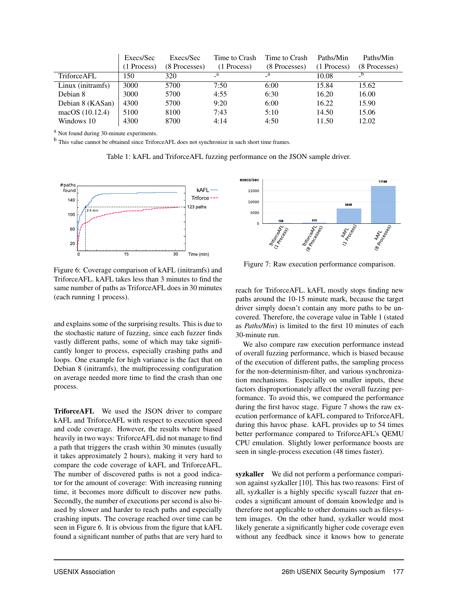<span id="page-11-0"></span>

|                     | Execs/Sec   | Execs/Sec     | Time to Crash | Time to Crash | Paths/Min     | Paths/Min     |
|---------------------|-------------|---------------|---------------|---------------|---------------|---------------|
|                     | (1 Process) | (8 Processes) | (1 Process)   | (8 Processes) | $(1$ Process) | (8 Processes) |
| <b>Triforce AFL</b> | 150         | 320           | $\mathbf{a}$  | $\mathbf{a}$  | 10.08         |               |
| Linux (initramfs)   | 3000        | 5700          | 7:50          | 6:00          | 15.84         | 15.62         |
| Debian 8            | 3000        | 5700          | 4:55          | 6:30          | 16.20         | 16.00         |
| Debian 8 (KASan)    | 4300        | 5700          | 9:20          | 6:00          | 16.22         | 15.90         |
| macOS $(10.12.4)$   | 5100        | 8100          | 7:43          | 5:10          | 14.50         | 15.06         |
| Windows 10          | 4300        | 8700          | 4:14          | 4:50          | 11.50         | 12.02         |

<sup>a</sup> Not found during 30-minute experiments.

<sup>b</sup> This value cannot be obtained since TriforceAFL does not synchronize in such short time frames.

Table 1: kAFL and TriforceAFL fuzzing performance on the JSON sample driver.

<span id="page-11-1"></span>

Figure 6: Coverage comparison of kAFL (initramfs) and TriforceAFL. kAFL takes less than 3 minutes to find the same number of paths as TriforceAFL does in 30 minutes (each running 1 process).

and explains some of the surprising results. This is due to the stochastic nature of fuzzing, since each fuzzer finds vastly different paths, some of which may take significantly longer to process, especially crashing paths and loops. One example for high variance is the fact that on Debian 8 (initramfs), the multiprocessing configuration on average needed more time to find the crash than one process.

TriforceAFL We used the JSON driver to compare kAFL and TriforceAFL with respect to execution speed and code coverage. However, the results where biased heavily in two ways: TriforceAFL did not manage to find a path that triggers the crash within 30 minutes (usually it takes approximately 2 hours), making it very hard to compare the code coverage of kAFL and TriforceAFL. The number of discovered paths is not a good indicator for the amount of coverage: With increasing running time, it becomes more difficult to discover new paths. Secondly, the number of executions per second is also biased by slower and harder to reach paths and especially crashing inputs. The coverage reached over time can be seen in Figure [6.](#page-11-1) It is obvious from the figure that kAFL found a significant number of paths that are very hard to

<span id="page-11-2"></span>

Figure 7: Raw execution performance comparison.

reach for TriforceAFL. kAFL mostly stops finding new paths around the 10-15 minute mark, because the target driver simply doesn't contain any more paths to be uncovered. Therefore, the coverage value in Table [1](#page-11-0) (stated as *Paths/Min*) is limited to the first 10 minutes of each 30-minute run.

We also compare raw execution performance instead of overall fuzzing performance, which is biased because of the execution of different paths, the sampling process for the non-determinism-filter, and various synchronization mechanisms. Especially on smaller inputs, these factors disproportionately affect the overall fuzzing performance. To avoid this, we compared the performance during the first havoc stage. Figure [7](#page-11-2) shows the raw execution performance of kAFL compared to TriforceAFL during this havoc phase. kAFL provides up to 54 times better performance compared to TriforceAFL's QEMU CPU emulation. Slightly lower performance boosts are seen in single-process execution (48 times faster).

syzkaller We did not perform a performance comparison against syzkaller [\[10\]](#page-15-3). This has two reasons: First of all, syzkaller is a highly specific syscall fuzzer that encodes a significant amount of domain knowledge and is therefore not applicable to other domains such as filesystem images. On the other hand, syzkaller would most likely generate a significantly higher code coverage even without any feedback since it knows how to generate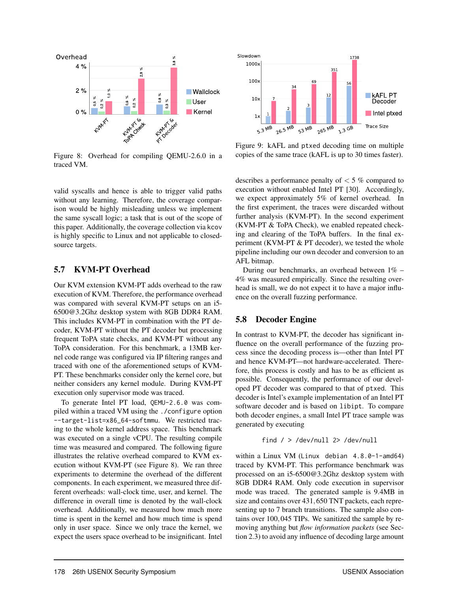<span id="page-12-2"></span>

Figure 8: Overhead for compiling QEMU-2.6.0 in a traced VM.

valid syscalls and hence is able to trigger valid paths without any learning. Therefore, the coverage comparison would be highly misleading unless we implement the same syscall logic; a task that is out of the scope of this paper. Additionally, the coverage collection via kcov is highly specific to Linux and not applicable to closedsource targets.

## <span id="page-12-0"></span>5.7 KVM-PT Overhead

Our KVM extension KVM-PT adds overhead to the raw execution of KVM. Therefore, the performance overhead was compared with several KVM-PT setups on an i5- 6500@3.2Ghz desktop system with 8GB DDR4 RAM. This includes KVM-PT in combination with the PT decoder, KVM-PT without the PT decoder but processing frequent ToPA state checks, and KVM-PT without any ToPA consideration. For this benchmark, a 13MB kernel code range was configured via IP filtering ranges and traced with one of the aforementioned setups of KVM-PT. These benchmarks consider only the kernel core, but neither considers any kernel module. During KVM-PT execution only supervisor mode was traced.

To generate Intel PT load, QEMU-2.6.0 was compiled within a traced VM using the ./configure option --target-list=x86\_64-softmmu. We restricted tracing to the whole kernel address space. This benchmark was executed on a single vCPU. The resulting compile time was measured and compared. The following figure illustrates the relative overhead compared to KVM execution without KVM-PT (see Figure [8\)](#page-12-2). We ran three experiments to determine the overhead of the different components. In each experiment, we measured three different overheads: wall-clock time, user, and kernel. The difference in overall time is denoted by the wall-clock overhead. Additionally, we measured how much more time is spent in the kernel and how much time is spend only in user space. Since we only trace the kernel, we expect the users space overhead to be insignificant. Intel

<span id="page-12-3"></span>

Figure 9: kAFL and ptxed decoding time on multiple copies of the same trace (kAFL is up to 30 times faster).

describes a performance penalty of < 5 % compared to execution without enabled Intel PT [\[30\]](#page-16-7). Accordingly, we expect approximately 5% of kernel overhead. In the first experiment, the traces were discarded without further analysis (KVM-PT). In the second experiment (KVM-PT & ToPA Check), we enabled repeated checking and clearing of the ToPA buffers. In the final experiment (KVM-PT & PT decoder), we tested the whole pipeline including our own decoder and conversion to an AFL bitmap.

During our benchmarks, an overhead between 1% – 4% was measured empirically. Since the resulting overhead is small, we do not expect it to have a major influence on the overall fuzzing performance.

### <span id="page-12-1"></span>5.8 Decoder Engine

In contrast to KVM-PT, the decoder has significant influence on the overall performance of the fuzzing process since the decoding process is—other than Intel PT and hence KVM-PT—not hardware-accelerated. Therefore, this process is costly and has to be as efficient as possible. Consequently, the performance of our developed PT decoder was compared to that of ptxed. This decoder is Intel's example implementation of an Intel PT software decoder and is based on libipt. To compare both decoder engines, a small Intel PT trace sample was generated by executing

$$
find / > /dev/null
$$
  $2 > /dev/null$ 

within a Linux VM (Linux debian 4.8.0-1-amd64) traced by KVM-PT. This performance benchmark was processed on an i5-6500@3.2Ghz desktop system with 8GB DDR4 RAM. Only code execution in supervisor mode was traced. The generated sample is 9.4MB in size and contains over 431,650 TNT packets, each representing up to 7 branch transitions. The sample also contains over 100,045 TIPs. We sanitized the sample by removing anything but *flow information packets* (see Section [2.3\)](#page-3-0) to avoid any influence of decoding large amount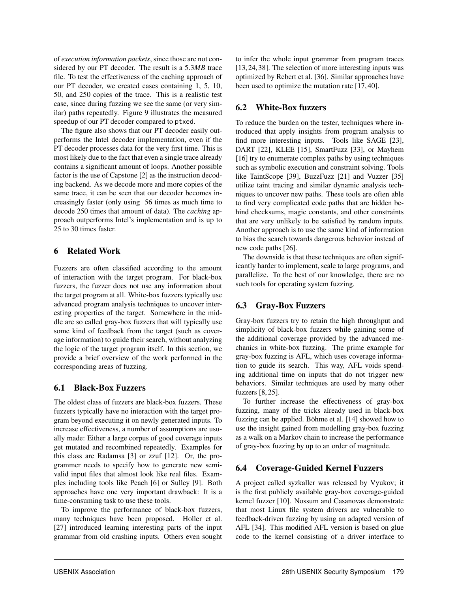of *execution information packets*, since those are not considered by our PT decoder. The result is a 5.3*MB* trace file. To test the effectiveness of the caching approach of our PT decoder, we created cases containing 1, 5, 10, 50, and 250 copies of the trace. This is a realistic test case, since during fuzzing we see the same (or very similar) paths repeatedly. Figure [9](#page-12-3) illustrates the measured speedup of our PT decoder compared to ptxed.

The figure also shows that our PT decoder easily outperforms the Intel decoder implementation, even if the PT decoder processes data for the very first time. This is most likely due to the fact that even a single trace already contains a significant amount of loops. Another possible factor is the use of Capstone [\[2\]](#page-15-8) as the instruction decoding backend. As we decode more and more copies of the same trace, it can be seen that our decoder becomes increasingly faster (only using 56 times as much time to decode 250 times that amount of data). The *caching* approach outperforms Intel's implementation and is up to 25 to 30 times faster.

# 6 Related Work

Fuzzers are often classified according to the amount of interaction with the target program. For black-box fuzzers, the fuzzer does not use any information about the target program at all. White-box fuzzers typically use advanced program analysis techniques to uncover interesting properties of the target. Somewhere in the middle are so called gray-box fuzzers that will typically use some kind of feedback from the target (such as coverage information) to guide their search, without analyzing the logic of the target program itself. In this section, we provide a brief overview of the work performed in the corresponding areas of fuzzing.

# 6.1 Black-Box Fuzzers

The oldest class of fuzzers are black-box fuzzers. These fuzzers typically have no interaction with the target program beyond executing it on newly generated inputs. To increase effectiveness, a number of assumptions are usually made: Either a large corpus of good coverage inputs get mutated and recombined repeatedly. Examples for this class are Radamsa [\[3\]](#page-15-9) or zzuf [\[12\]](#page-15-10). Or, the programmer needs to specify how to generate new semivalid input files that almost look like real files. Examples including tools like Peach [\[6\]](#page-15-11) or Sulley [\[9\]](#page-15-12). Both approaches have one very important drawback: It is a time-consuming task to use these tools.

To improve the performance of black-box fuzzers, many techniques have been proposed. Holler et al. [\[27\]](#page-16-8) introduced learning interesting parts of the input grammar from old crashing inputs. Others even sought to infer the whole input grammar from program traces [\[13,](#page-15-13) [24,](#page-16-9) [38\]](#page-16-10). The selection of more interesting inputs was optimized by Rebert et al. [\[36\]](#page-16-11). Similar approaches have been used to optimize the mutation rate [\[17,](#page-15-14) [40\]](#page-16-12).

# 6.2 White-Box fuzzers

To reduce the burden on the tester, techniques where introduced that apply insights from program analysis to find more interesting inputs. Tools like SAGE [\[23\]](#page-16-13), DART [\[22\]](#page-16-14), KLEE [\[15\]](#page-15-15), SmartFuzz [\[33\]](#page-16-15), or Mayhem [\[16\]](#page-15-16) try to enumerate complex paths by using techniques such as symbolic execution and constraint solving. Tools like TaintScope [\[39\]](#page-16-16), BuzzFuzz [\[21\]](#page-16-17) and Vuzzer [\[35\]](#page-16-0) utilize taint tracing and similar dynamic analysis techniques to uncover new paths. These tools are often able to find very complicated code paths that are hidden behind checksums, magic constants, and other constraints that are very unlikely to be satisfied by random inputs. Another approach is to use the same kind of information to bias the search towards dangerous behavior instead of new code paths [\[26\]](#page-16-18).

The downside is that these techniques are often significantly harder to implement, scale to large programs, and parallelize. To the best of our knowledge, there are no such tools for operating system fuzzing.

# 6.3 Gray-Box Fuzzers

Gray-box fuzzers try to retain the high throughput and simplicity of black-box fuzzers while gaining some of the additional coverage provided by the advanced mechanics in white-box fuzzing. The prime example for gray-box fuzzing is AFL, which uses coverage information to guide its search. This way, AFL voids spending additional time on inputs that do not trigger new behaviors. Similar techniques are used by many other fuzzers [\[8,](#page-15-1) [25\]](#page-16-19).

To further increase the effectiveness of gray-box fuzzing, many of the tricks already used in black-box fuzzing can be applied. Böhme et al. [\[14\]](#page-15-2) showed how to use the insight gained from modelling gray-box fuzzing as a walk on a Markov chain to increase the performance of gray-box fuzzing by up to an order of magnitude.

# 6.4 Coverage-Guided Kernel Fuzzers

A project called syzkaller was released by Vyukov; it is the first publicly available gray-box coverage-guided kernel fuzzer [\[10\]](#page-15-3). Nossum and Casanovas demonstrate that most Linux file system drivers are vulnerable to feedback-driven fuzzing by using an adapted version of AFL [\[34\]](#page-16-2). This modified AFL version is based on glue code to the kernel consisting of a driver interface to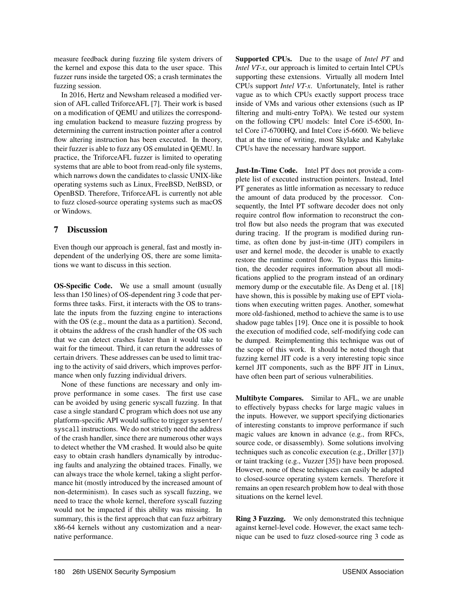measure feedback during fuzzing file system drivers of the kernel and expose this data to the user space. This fuzzer runs inside the targeted OS; a crash terminates the fuzzing session.

In 2016, Hertz and Newsham released a modified version of AFL called TriforceAFL [\[7\]](#page-15-4). Their work is based on a modification of QEMU and utilizes the corresponding emulation backend to measure fuzzing progress by determining the current instruction pointer after a control flow altering instruction has been executed. In theory, their fuzzer is able to fuzz any OS emulated in QEMU. In practice, the TriforceAFL fuzzer is limited to operating systems that are able to boot from read-only file systems, which narrows down the candidates to classic UNIX-like operating systems such as Linux, FreeBSD, NetBSD, or OpenBSD. Therefore, TriforceAFL is currently not able to fuzz closed-source operating systems such as macOS or Windows.

## 7 Discussion

Even though our approach is general, fast and mostly independent of the underlying OS, there are some limitations we want to discuss in this section.

OS-Specific Code. We use a small amount (usually less than 150 lines) of OS-dependent ring 3 code that performs three tasks. First, it interacts with the OS to translate the inputs from the fuzzing engine to interactions with the OS (e.g., mount the data as a partition). Second, it obtains the address of the crash handler of the OS such that we can detect crashes faster than it would take to wait for the timeout. Third, it can return the addresses of certain drivers. These addresses can be used to limit tracing to the activity of said drivers, which improves performance when only fuzzing individual drivers.

None of these functions are necessary and only improve performance in some cases. The first use case can be avoided by using generic syscall fuzzing. In that case a single standard C program which does not use any platform-specific API would suffice to trigger sysenter/ syscall instructions. We do not strictly need the address of the crash handler, since there are numerous other ways to detect whether the VM crashed. It would also be quite easy to obtain crash handlers dynamically by introducing faults and analyzing the obtained traces. Finally, we can always trace the whole kernel, taking a slight performance hit (mostly introduced by the increased amount of non-determinism). In cases such as syscall fuzzing, we need to trace the whole kernel, therefore syscall fuzzing would not be impacted if this ability was missing. In summary, this is the first approach that can fuzz arbitrary x86-64 kernels without any customization and a nearnative performance.

Supported CPUs. Due to the usage of *Intel PT* and *Intel VT-x*, our approach is limited to certain Intel CPUs supporting these extensions. Virtually all modern Intel CPUs support *Intel VT-x*. Unfortunately, Intel is rather vague as to which CPUs exactly support process trace inside of VMs and various other extensions (such as IP filtering and multi-entry ToPA). We tested our system on the following CPU models: Intel Core i5-6500, Intel Core i7-6700HQ, and Intel Core i5-6600. We believe that at the time of writing, most Skylake and Kabylake CPUs have the necessary hardware support.

Just-In-Time Code. Intel PT does not provide a complete list of executed instruction pointers. Instead, Intel PT generates as little information as necessary to reduce the amount of data produced by the processor. Consequently, the Intel PT software decoder does not only require control flow information to reconstruct the control flow but also needs the program that was executed during tracing. If the program is modified during runtime, as often done by just-in-time (JIT) compilers in user and kernel mode, the decoder is unable to exactly restore the runtime control flow. To bypass this limitation, the decoder requires information about all modifications applied to the program instead of an ordinary memory dump or the executable file. As Deng et al. [\[18\]](#page-15-17) have shown, this is possible by making use of EPT violations when executing written pages. Another, somewhat more old-fashioned, method to achieve the same is to use shadow page tables [\[19\]](#page-16-20). Once one it is possible to hook the execution of modified code, self-modifying code can be dumped. Reimplementing this technique was out of the scope of this work. It should be noted though that fuzzing kernel JIT code is a very interesting topic since kernel JIT components, such as the BPF JIT in Linux, have often been part of serious vulnerabilities.

Multibyte Compares. Similar to AFL, we are unable to effectively bypass checks for large magic values in the inputs. However, we support specifying dictionaries of interesting constants to improve performance if such magic values are known in advance (e.g., from RFCs, source code, or disassembly). Some solutions involving techniques such as concolic execution (e.g., Driller [\[37\]](#page-16-1)) or taint tracking (e.g., Vuzzer [\[35\]](#page-16-0)) have been proposed. However, none of these techniques can easily be adapted to closed-source operating system kernels. Therefore it remains an open research problem how to deal with those situations on the kernel level.

Ring 3 Fuzzing. We only demonstrated this technique against kernel-level code. However, the exact same technique can be used to fuzz closed-source ring 3 code as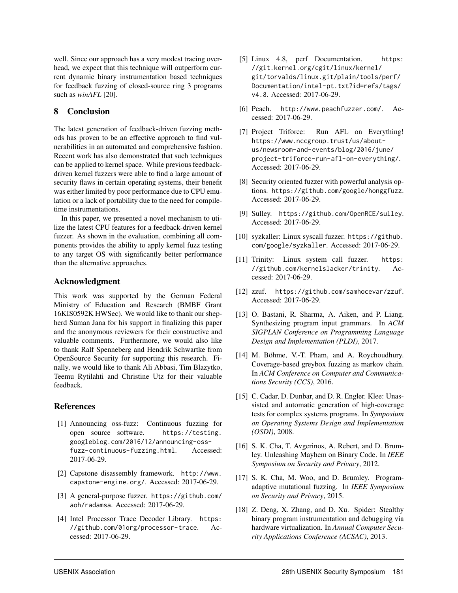well. Since our approach has a very modest tracing overhead, we expect that this technique will outperform current dynamic binary instrumentation based techniques for feedback fuzzing of closed-source ring 3 programs such as *winAFL* [\[20\]](#page-16-21).

## 8 Conclusion

The latest generation of feedback-driven fuzzing methods has proven to be an effective approach to find vulnerabilities in an automated and comprehensive fashion. Recent work has also demonstrated that such techniques can be applied to kernel space. While previous feedbackdriven kernel fuzzers were able to find a large amount of security flaws in certain operating systems, their benefit was either limited by poor performance due to CPU emulation or a lack of portability due to the need for compiletime instrumentations.

In this paper, we presented a novel mechanism to utilize the latest CPU features for a feedback-driven kernel fuzzer. As shown in the evaluation, combining all components provides the ability to apply kernel fuzz testing to any target OS with significantly better performance than the alternative approaches.

## Acknowledgment

This work was supported by the German Federal Ministry of Education and Research (BMBF Grant 16KIS0592K HWSec). We would like to thank our shepherd Suman Jana for his support in finalizing this paper and the anonymous reviewers for their constructive and valuable comments. Furthermore, we would also like to thank Ralf Spenneberg and Hendrik Schwartke from OpenSource Security for supporting this research. Finally, we would like to thank Ali Abbasi, Tim Blazytko, Teemu Rytilahti and Christine Utz for their valuable feedback.

## References

- <span id="page-15-0"></span>[1] Announcing oss-fuzz: Continuous fuzzing for open source software. [https://testing.](https://testing.googleblog.com/2016/12/announcing-oss-fuzz-continuous-fuzzing.html) [googleblog.com/2016/12/announcing-oss](https://testing.googleblog.com/2016/12/announcing-oss-fuzz-continuous-fuzzing.html)[fuzz-continuous-fuzzing.html](https://testing.googleblog.com/2016/12/announcing-oss-fuzz-continuous-fuzzing.html). Accessed: 2017-06-29.
- <span id="page-15-8"></span>[2] Capstone disassembly framework. [http://www.](http://www.capstone-engine.org/) [capstone-engine.org/](http://www.capstone-engine.org/). Accessed: 2017-06-29.
- <span id="page-15-9"></span>[3] A general-purpose fuzzer. [https://github.com/](https://github.com/aoh/radamsa) [aoh/radamsa](https://github.com/aoh/radamsa). Accessed: 2017-06-29.
- <span id="page-15-7"></span>[4] Intel Processor Trace Decoder Library. [https:](https://github.com/01org/processor-trace) [//github.com/01org/processor-trace](https://github.com/01org/processor-trace). Accessed: 2017-06-29.
- <span id="page-15-6"></span>[5] Linux 4.8, perf Documentation. [https:](https://git.kernel.org/cgit/linux/kernel/git/torvalds/linux.git/plain/tools/perf/Documentation/intel-pt.txt?id=refs/tags/v4.8) [//git.kernel.org/cgit/linux/kernel/](https://git.kernel.org/cgit/linux/kernel/git/torvalds/linux.git/plain/tools/perf/Documentation/intel-pt.txt?id=refs/tags/v4.8) [git/torvalds/linux.git/plain/tools/perf/](https://git.kernel.org/cgit/linux/kernel/git/torvalds/linux.git/plain/tools/perf/Documentation/intel-pt.txt?id=refs/tags/v4.8) [Documentation/intel-pt.txt?id=refs/tags/](https://git.kernel.org/cgit/linux/kernel/git/torvalds/linux.git/plain/tools/perf/Documentation/intel-pt.txt?id=refs/tags/v4.8) [v4.8](https://git.kernel.org/cgit/linux/kernel/git/torvalds/linux.git/plain/tools/perf/Documentation/intel-pt.txt?id=refs/tags/v4.8). Accessed: 2017-06-29.
- <span id="page-15-11"></span>[6] Peach. <http://www.peachfuzzer.com/>. Accessed: 2017-06-29.
- <span id="page-15-4"></span>[7] Project Triforce: Run AFL on Everything! [https://www.nccgroup.trust/us/about](https://www.nccgroup.trust/us/about-us/newsroom-and-events/blog/2016/june/project-triforce-run-afl-on-everything/)[us/newsroom-and-events/blog/2016/june/](https://www.nccgroup.trust/us/about-us/newsroom-and-events/blog/2016/june/project-triforce-run-afl-on-everything/) [project-triforce-run-afl-on-everything/](https://www.nccgroup.trust/us/about-us/newsroom-and-events/blog/2016/june/project-triforce-run-afl-on-everything/). Accessed: 2017-06-29.
- <span id="page-15-1"></span>[8] Security oriented fuzzer with powerful analysis options. <https://github.com/google/honggfuzz>. Accessed: 2017-06-29.
- <span id="page-15-12"></span>[9] Sulley. <https://github.com/OpenRCE/sulley>. Accessed: 2017-06-29.
- <span id="page-15-3"></span>[10] syzkaller: Linux syscall fuzzer. [https://github.](https://github.com/google/syzkaller) [com/google/syzkaller](https://github.com/google/syzkaller). Accessed: 2017-06-29.
- <span id="page-15-5"></span>[11] Trinity: Linux system call fuzzer. [https:](https://github.com/kernelslacker/trinity) [//github.com/kernelslacker/trinity](https://github.com/kernelslacker/trinity). Accessed: 2017-06-29.
- <span id="page-15-10"></span>[12] zzuf. <https://github.com/samhocevar/zzuf>. Accessed: 2017-06-29.
- <span id="page-15-13"></span>[13] O. Bastani, R. Sharma, A. Aiken, and P. Liang. Synthesizing program input grammars. In *ACM SIGPLAN Conference on Programming Language Design and Implementation (PLDI)*, 2017.
- <span id="page-15-2"></span>[14] M. Böhme, V.-T. Pham, and A. Roychoudhury. Coverage-based greybox fuzzing as markov chain. In *ACM Conference on Computer and Communications Security (CCS)*, 2016.
- <span id="page-15-15"></span>[15] C. Cadar, D. Dunbar, and D. R. Engler. Klee: Unassisted and automatic generation of high-coverage tests for complex systems programs. In *Symposium on Operating Systems Design and Implementation (OSDI)*, 2008.
- <span id="page-15-16"></span>[16] S. K. Cha, T. Avgerinos, A. Rebert, and D. Brumley. Unleashing Mayhem on Binary Code. In *IEEE Symposium on Security and Privacy*, 2012.
- <span id="page-15-14"></span>[17] S. K. Cha, M. Woo, and D. Brumley. Programadaptive mutational fuzzing. In *IEEE Symposium on Security and Privacy*, 2015.
- <span id="page-15-17"></span>[18] Z. Deng, X. Zhang, and D. Xu. Spider: Stealthy binary program instrumentation and debugging via hardware virtualization. In *Annual Computer Security Applications Conference (ACSAC)*, 2013.